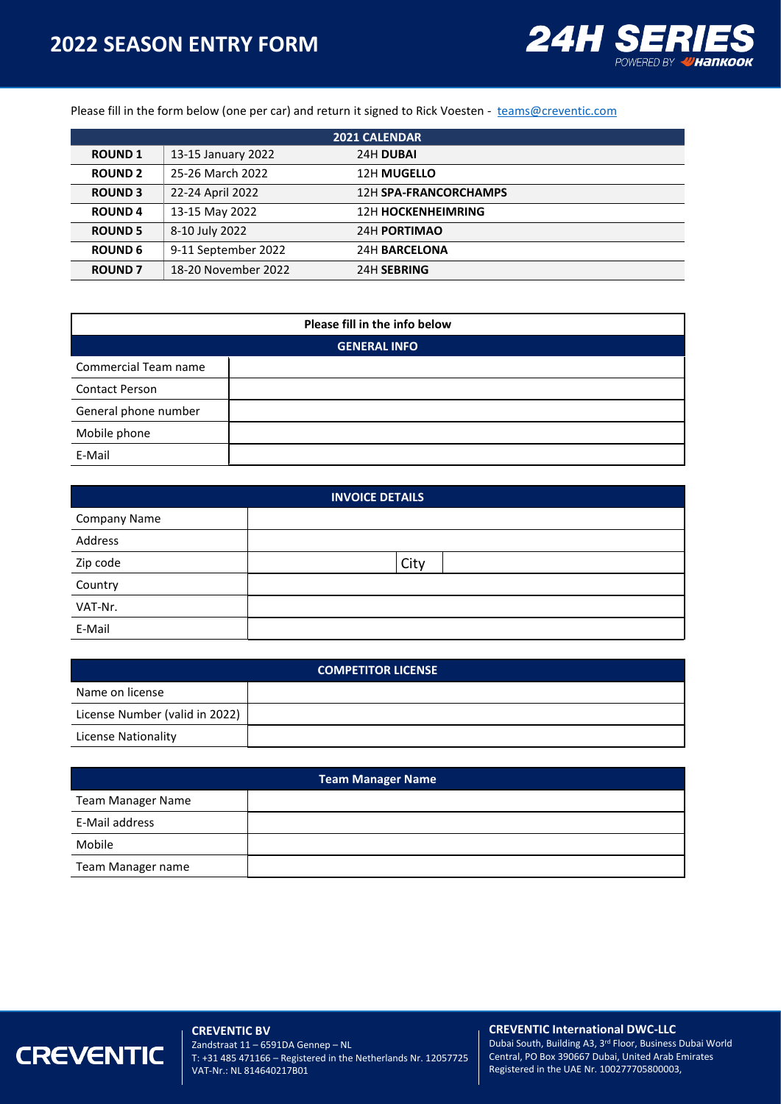## **2022 SEASON ENTRY FORM**



Please fill in the form below (one per car) and return it signed to Rick Voesten - [teams@creventic.com](mailto:teams@creventic.com)

| <b>2021 CALENDAR</b> |                     |                              |  |  |  |  |  |
|----------------------|---------------------|------------------------------|--|--|--|--|--|
| <b>ROUND 1</b>       | 13-15 January 2022  | 24H DUBAI                    |  |  |  |  |  |
| <b>ROUND 2</b>       | 25-26 March 2022    | 12H MUGELLO                  |  |  |  |  |  |
| <b>ROUND 3</b>       | 22-24 April 2022    | <b>12H SPA-FRANCORCHAMPS</b> |  |  |  |  |  |
| <b>ROUND4</b>        | 13-15 May 2022      | <b>12H HOCKENHEIMRING</b>    |  |  |  |  |  |
| <b>ROUND 5</b>       | 8-10 July 2022      | 24H PORTIMAO                 |  |  |  |  |  |
| <b>ROUND 6</b>       | 9-11 September 2022 | <b>24H BARCELONA</b>         |  |  |  |  |  |
| <b>ROUND 7</b>       | 18-20 November 2022 | 24H SEBRING                  |  |  |  |  |  |

| Please fill in the info below |  |  |  |  |  |  |  |
|-------------------------------|--|--|--|--|--|--|--|
| <b>GENERAL INFO</b>           |  |  |  |  |  |  |  |
| Commercial Team name          |  |  |  |  |  |  |  |
| <b>Contact Person</b>         |  |  |  |  |  |  |  |
| General phone number          |  |  |  |  |  |  |  |
| Mobile phone                  |  |  |  |  |  |  |  |
| E-Mail                        |  |  |  |  |  |  |  |

| <b>INVOICE DETAILS</b> |      |  |  |  |  |  |
|------------------------|------|--|--|--|--|--|
| Company Name           |      |  |  |  |  |  |
| Address                |      |  |  |  |  |  |
| Zip code               | City |  |  |  |  |  |
| Country                |      |  |  |  |  |  |
| VAT-Nr.                |      |  |  |  |  |  |
| E-Mail                 |      |  |  |  |  |  |

| <b>COMPETITOR LICENSE</b>      |  |  |  |  |  |  |  |
|--------------------------------|--|--|--|--|--|--|--|
| Name on license                |  |  |  |  |  |  |  |
| License Number (valid in 2022) |  |  |  |  |  |  |  |
| License Nationality            |  |  |  |  |  |  |  |

| <b>Team Manager Name</b> |  |  |  |  |  |  |  |
|--------------------------|--|--|--|--|--|--|--|
| <b>Team Manager Name</b> |  |  |  |  |  |  |  |
| E-Mail address           |  |  |  |  |  |  |  |
| Mobile                   |  |  |  |  |  |  |  |
| Team Manager name        |  |  |  |  |  |  |  |

# **CREVENTIC**

**CREVENTIC BV** Zandstraat 11 – 6591DA Gennep – NL T: +31 485 471166 – Registered in the Netherlands Nr. 12057725 VAT-Nr.: NL 814640217B01

#### **CREVENTIC International DWC-LLC**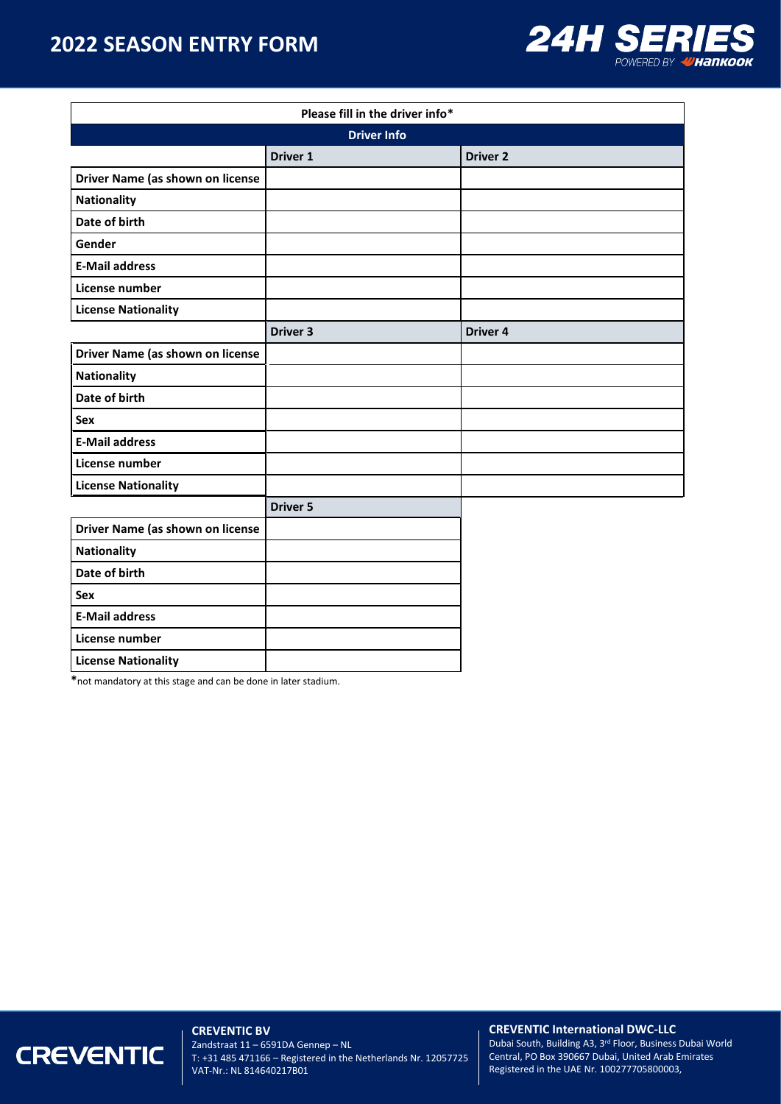## **2022 SEASON ENTRY FORM**



| Please fill in the driver info*  |                     |                 |  |  |  |  |  |
|----------------------------------|---------------------|-----------------|--|--|--|--|--|
|                                  | <b>Driver Info</b>  |                 |  |  |  |  |  |
|                                  | Driver 1            | <b>Driver 2</b> |  |  |  |  |  |
| Driver Name (as shown on license |                     |                 |  |  |  |  |  |
| <b>Nationality</b>               |                     |                 |  |  |  |  |  |
| Date of birth                    |                     |                 |  |  |  |  |  |
| Gender                           |                     |                 |  |  |  |  |  |
| <b>E-Mail address</b>            |                     |                 |  |  |  |  |  |
| License number                   |                     |                 |  |  |  |  |  |
| <b>License Nationality</b>       |                     |                 |  |  |  |  |  |
|                                  | Driver <sub>3</sub> | <b>Driver 4</b> |  |  |  |  |  |
| Driver Name (as shown on license |                     |                 |  |  |  |  |  |
| <b>Nationality</b>               |                     |                 |  |  |  |  |  |
| Date of birth                    |                     |                 |  |  |  |  |  |
| Sex                              |                     |                 |  |  |  |  |  |
| <b>E-Mail address</b>            |                     |                 |  |  |  |  |  |
| License number                   |                     |                 |  |  |  |  |  |
| <b>License Nationality</b>       |                     |                 |  |  |  |  |  |
|                                  | <b>Driver 5</b>     |                 |  |  |  |  |  |
| Driver Name (as shown on license |                     |                 |  |  |  |  |  |
| Nationality                      |                     |                 |  |  |  |  |  |
| Date of birth                    |                     |                 |  |  |  |  |  |
| Sex                              |                     |                 |  |  |  |  |  |
| <b>E-Mail address</b>            |                     |                 |  |  |  |  |  |
| License number                   |                     |                 |  |  |  |  |  |
| <b>License Nationality</b>       |                     |                 |  |  |  |  |  |

**\***not mandatory at this stage and can be done in later stadium.

# **CREVENTIC**

**CREVENTIC BV** Zandstraat 11 – 6591DA Gennep – NL T: +31 485 471166 – Registered in the Netherlands Nr. 12057725 VAT-Nr.: NL 814640217B01

#### **CREVENTIC International DWC-LLC**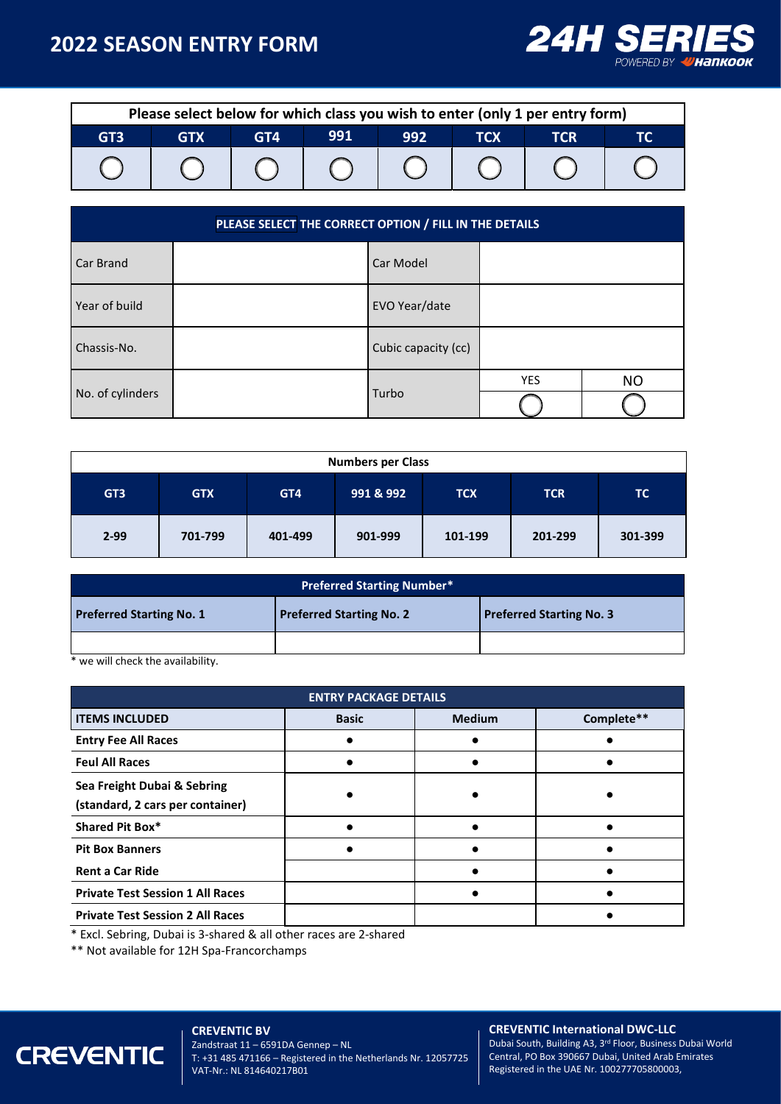### **2022 SEASON ENTRY FORM**



| Please select below for which class you wish to enter (only 1 per entry form) |  |  |  |  |  |  |  |  |  |  |
|-------------------------------------------------------------------------------|--|--|--|--|--|--|--|--|--|--|
| 991<br>992<br>GT3<br>GT4<br>тсх<br>TCR<br><b>GTX</b>                          |  |  |  |  |  |  |  |  |  |  |
|                                                                               |  |  |  |  |  |  |  |  |  |  |

| PLEASE SELECT THE CORRECT OPTION / FILL IN THE DETAILS |  |                     |     |           |  |  |  |  |  |
|--------------------------------------------------------|--|---------------------|-----|-----------|--|--|--|--|--|
| Car Brand                                              |  | Car Model           |     |           |  |  |  |  |  |
| Year of build                                          |  | EVO Year/date       |     |           |  |  |  |  |  |
| Chassis-No.                                            |  | Cubic capacity (cc) |     |           |  |  |  |  |  |
|                                                        |  |                     | YES | <b>NO</b> |  |  |  |  |  |
| No. of cylinders                                       |  | Turbo               |     |           |  |  |  |  |  |

| <b>Numbers per Class</b> |            |         |           |            |            |           |  |  |  |  |
|--------------------------|------------|---------|-----------|------------|------------|-----------|--|--|--|--|
| GT <sub>3</sub>          | <b>GTX</b> | GT4     | 991 & 992 | <b>TCX</b> | <b>TCR</b> | <b>TC</b> |  |  |  |  |
| $2 - 99$                 | 701-799    | 401-499 | 901-999   | 101-199    | 201-299    | 301-399   |  |  |  |  |

| <b>Preferred Starting Number*</b> |                                 |                                 |  |  |  |  |  |  |  |
|-----------------------------------|---------------------------------|---------------------------------|--|--|--|--|--|--|--|
| <b>Preferred Starting No. 1</b>   | <b>Preferred Starting No. 2</b> | <b>Preferred Starting No. 3</b> |  |  |  |  |  |  |  |
|                                   |                                 |                                 |  |  |  |  |  |  |  |

\* we will check the availability.

| <b>ENTRY PACKAGE DETAILS</b>                                    |              |               |  |  |  |  |  |  |
|-----------------------------------------------------------------|--------------|---------------|--|--|--|--|--|--|
| <b>ITEMS INCLUDED</b>                                           | <b>Basic</b> | <b>Medium</b> |  |  |  |  |  |  |
| <b>Entry Fee All Races</b>                                      |              |               |  |  |  |  |  |  |
| <b>Feul All Races</b>                                           |              |               |  |  |  |  |  |  |
| Sea Freight Dubai & Sebring<br>(standard, 2 cars per container) |              |               |  |  |  |  |  |  |
| <b>Shared Pit Box*</b>                                          |              |               |  |  |  |  |  |  |
| <b>Pit Box Banners</b>                                          |              |               |  |  |  |  |  |  |
| <b>Rent a Car Ride</b>                                          |              |               |  |  |  |  |  |  |
| <b>Private Test Session 1 All Races</b>                         |              |               |  |  |  |  |  |  |
| <b>Private Test Session 2 All Races</b>                         |              |               |  |  |  |  |  |  |

\* Excl. Sebring, Dubai is 3-shared & all other races are 2-shared

\*\* Not available for 12H Spa-Francorchamps

## **CREVENTIC**

**CREVENTIC BV** Zandstraat 11 – 6591DA Gennep – NL T: +31 485 471166 – Registered in the Netherlands Nr. 12057725 VAT-Nr.: NL 814640217B01

#### **CREVENTIC International DWC-LLC**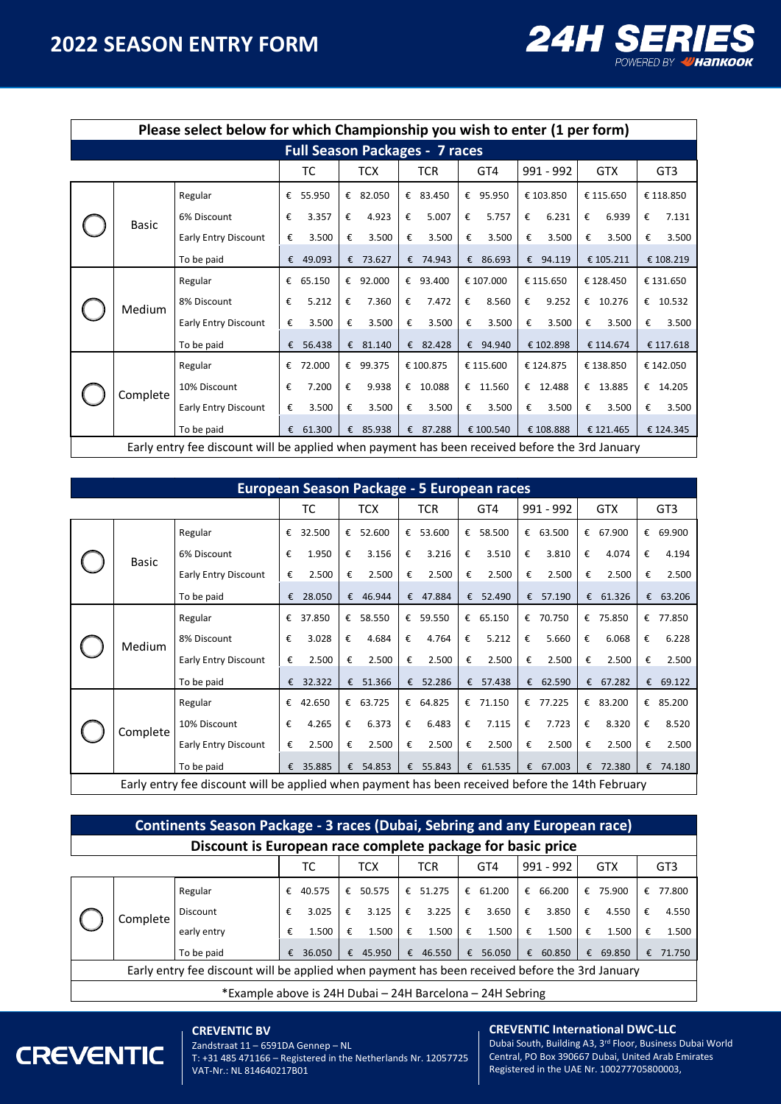

 $\overline{\phantom{a}}$ 

|  | Please select below for which Championship you wish to enter (1 per form) |                                                                                                |            |        |   |          |   |          |   |           |   |           |   |            |   |           |
|--|---------------------------------------------------------------------------|------------------------------------------------------------------------------------------------|------------|--------|---|----------|---|----------|---|-----------|---|-----------|---|------------|---|-----------|
|  | <b>Full Season Packages - 7 races</b>                                     |                                                                                                |            |        |   |          |   |          |   |           |   |           |   |            |   |           |
|  | ТC<br>TCX<br><b>TCR</b><br>GT4<br>991 - 992<br><b>GTX</b><br>GT3          |                                                                                                |            |        |   |          |   |          |   |           |   |           |   |            |   |           |
|  |                                                                           | Regular                                                                                        | €          | 55.950 | € | 82.050   |   | € 83.450 | € | 95.950    |   | € 103.850 |   | € 115.650  |   | € 118.850 |
|  | <b>Basic</b>                                                              | 6% Discount                                                                                    | €          | 3.357  | € | 4.923    | € | 5.007    | € | 5.757     | € | 6.231     | € | 6.939      | € | 7.131     |
|  |                                                                           | <b>Early Entry Discount</b>                                                                    | €          | 3.500  | € | 3.500    | € | 3.500    | € | 3.500     | € | 3.500     | € | 3.500      | € | 3.500     |
|  |                                                                           | To be paid                                                                                     | €          | 49.093 | € | 73.627   |   | € 74.943 |   | € 86.693  |   | € 94.119  |   | € 105.211  |   | € 108.219 |
|  |                                                                           | Regular                                                                                        | €          | 65.150 |   | € 92.000 |   | € 93.400 |   | € 107.000 |   | € 115.650 |   | € 128.450  |   | € 131.650 |
|  | Medium                                                                    | 8% Discount                                                                                    | €          | 5.212  | € | 7.360    | € | 7.472    | € | 8.560     | € | 9.252     |   | € $10.276$ | € | 10.532    |
|  |                                                                           | <b>Early Entry Discount</b>                                                                    | €          | 3.500  | € | 3.500    | € | 3.500    | € | 3.500     | € | 3.500     | € | 3.500      | € | 3.500     |
|  |                                                                           | To be paid                                                                                     | $\epsilon$ | 56.438 |   | € 81.140 |   | € 82.428 |   | € 94.940  |   | € 102.898 |   | € 114.674  |   | € 117.618 |
|  |                                                                           | Regular                                                                                        | €          | 72.000 | € | 99.375   |   | €100.875 |   | € 115.600 |   | € 124.875 |   | € 138.850  |   | € 142.050 |
|  | Complete                                                                  | 10% Discount                                                                                   | €          | 7.200  | € | 9.938    |   | € 10.088 |   | € 11.560  |   | € 12.488  |   | € 13.885   |   | € 14.205  |
|  |                                                                           | <b>Early Entry Discount</b>                                                                    | €          | 3.500  | € | 3.500    | € | 3.500    | € | 3.500     | € | 3.500     | € | 3.500      | € | 3.500     |
|  |                                                                           | To be paid                                                                                     | €          | 61.300 | € | 85.938   | € | 87.288   |   | € 100.540 |   | € 108.888 |   | € 121.465  |   | € 124.345 |
|  |                                                                           | Early entry fee discount will be applied when payment has been received before the 3rd January |            |        |   |          |   |          |   |           |   |           |   |            |   |           |

| European Season Package - 5 European races |                                                                                                  |                             |   |          |            |        |            |          |     |        |           |          |     |          |     |        |
|--------------------------------------------|--------------------------------------------------------------------------------------------------|-----------------------------|---|----------|------------|--------|------------|----------|-----|--------|-----------|----------|-----|----------|-----|--------|
|                                            |                                                                                                  |                             |   | ТC       | <b>TCX</b> |        | <b>TCR</b> |          | GT4 |        | 991 - 992 |          | GTX |          | GT3 |        |
|                                            | Basic                                                                                            | Regular                     | € | 32.500   | €          | 52.600 | €          | 53.600   | €   | 58.500 |           | € 63.500 | €   | 67.900   | €   | 69.900 |
|                                            |                                                                                                  | 6% Discount                 | € | 1.950    | €          | 3.156  | €          | 3.216    | €   | 3.510  | €         | 3.810    | €   | 4.074    | €   | 4.194  |
|                                            |                                                                                                  | <b>Early Entry Discount</b> | € | 2.500    | €          | 2.500  | €          | 2.500    | €   | 2.500  | €         | 2.500    | €   | 2.500    | €   | 2.500  |
|                                            |                                                                                                  | To be paid                  | € | 28.050   | €          | 46.944 |            | € 47.884 | €   | 52.490 | €         | 57.190   | €   | 61.326   | €   | 63.206 |
|                                            | Medium                                                                                           | Regular                     | € | 37.850   | €          | 58.550 |            | € 59.550 | €   | 65.150 | €         | 70.750   | €   | 75.850   | €   | 77.850 |
|                                            |                                                                                                  | 8% Discount                 | € | 3.028    | €          | 4.684  | €          | 4.764    | €   | 5.212  | €         | 5.660    | €   | 6.068    | €   | 6.228  |
|                                            |                                                                                                  | <b>Early Entry Discount</b> | € | 2.500    | €          | 2.500  | €          | 2.500    | €   | 2.500  | €         | 2.500    | €   | 2.500    | €   | 2.500  |
|                                            |                                                                                                  | To be paid                  |   | € 32.322 | €          | 51.366 |            | € 52.286 | €   | 57.438 |           | € 62.590 | €   | 67.282   | €   | 69.122 |
|                                            | Complete                                                                                         | Regular                     | € | 42.650   | €          | 63.725 |            | € 64.825 | €   | 71.150 |           | € 77.225 |     | € 83.200 | €   | 85.200 |
|                                            |                                                                                                  | 10% Discount                | € | 4.265    | €          | 6.373  | €          | 6.483    | €   | 7.115  | €         | 7.723    | €   | 8.320    | €   | 8.520  |
|                                            |                                                                                                  | <b>Early Entry Discount</b> | € | 2.500    | €          | 2.500  | €          | 2.500    | €   | 2.500  | €         | 2.500    | €   | 2.500    | €   | 2.500  |
|                                            |                                                                                                  | To be paid                  | € | 35.885   | €          | 54.853 | €          | 55.843   | €   | 61.535 | €         | 67.003   | €   | 72.380   | €   | 74.180 |
|                                            | Early entry fee discount will be applied when payment has been received before the 14th February |                             |   |          |            |        |            |          |     |        |           |          |     |          |     |        |

|                                                                                                | <b>Continents Season Package - 3 races (Dubai, Sebring and any European race)</b> |             |   |           |   |        |   |          |   |           |   |            |   |                 |   |        |
|------------------------------------------------------------------------------------------------|-----------------------------------------------------------------------------------|-------------|---|-----------|---|--------|---|----------|---|-----------|---|------------|---|-----------------|---|--------|
|                                                                                                | Discount is European race complete package for basic price                        |             |   |           |   |        |   |          |   |           |   |            |   |                 |   |        |
|                                                                                                |                                                                                   |             |   | ТC<br>тсх |   | TCR    |   | GT4      |   | 991 - 992 |   | <b>GTX</b> |   | GT <sub>3</sub> |   |        |
|                                                                                                | Complete                                                                          | Regular     | € | 40.575    | € | 50.575 |   | € 51.275 | € | 61.200    | € | 66,200     | € | 75.900          | € | 77.800 |
|                                                                                                |                                                                                   | Discount    | € | 3.025     | € | 3.125  | € | 3.225    | € | 3.650     | € | 3.850      | € | 4.550           | € | 4.550  |
|                                                                                                |                                                                                   | early entry | € | 1.500     | € | 1.500  | € | 1.500    | € | 1.500     | € | 1.500      | € | 1.500           | € | 1.500  |
|                                                                                                |                                                                                   | To be paid  | € | 36.050    | € | 45.950 | € | 46.550   | € | 56.050    | € | 60.850     | € | 69.850          | € | 71.750 |
| Early entry fee discount will be applied when payment has been received before the 3rd January |                                                                                   |             |   |           |   |        |   |          |   |           |   |            |   |                 |   |        |
|                                                                                                | *Example above is 24H Dubai – 24H Barcelona – 24H Sebring                         |             |   |           |   |        |   |          |   |           |   |            |   |                 |   |        |

#### **CREVENTIC BV**



Zandstraat 11 – 6591DA Gennep – NL T: +31 485 471166 – Registered in the Netherlands Nr. 12057725 VAT-Nr.: NL 814640217B01

#### **CREVENTIC International DWC-LLC**